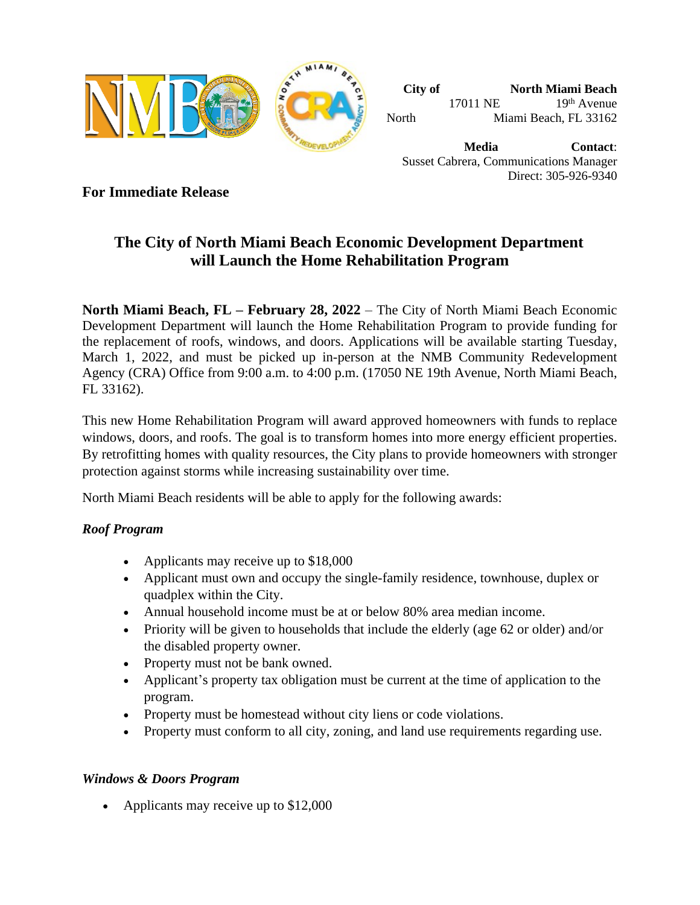

**City of North Miami Beach** 17011 NE 19th Avenue North Miami Beach, FL 33162

**Media Contact**: Susset Cabrera, Communications Manager Direct: 305-926-9340

**For Immediate Release**

# **The City of North Miami Beach Economic Development Department will Launch the Home Rehabilitation Program**

**North Miami Beach, FL – February 28, 2022** – The City of North Miami Beach Economic Development Department will launch the Home Rehabilitation Program to provide funding for the replacement of roofs, windows, and doors. Applications will be available starting Tuesday, March 1, 2022, and must be picked up in-person at the NMB Community Redevelopment Agency (CRA) Office from 9:00 a.m. to 4:00 p.m. (17050 NE 19th Avenue, North Miami Beach, FL 33162).

This new Home Rehabilitation Program will award approved homeowners with funds to replace windows, doors, and roofs. The goal is to transform homes into more energy efficient properties. By retrofitting homes with quality resources, the City plans to provide homeowners with stronger protection against storms while increasing sustainability over time.

North Miami Beach residents will be able to apply for the following awards:

## *Roof Program*

- Applicants may receive up to \$18,000
- Applicant must own and occupy the single-family residence, townhouse, duplex or quadplex within the City.
- Annual household income must be at or below 80% area median income.
- Priority will be given to households that include the elderly (age 62 or older) and/or the disabled property owner.
- Property must not be bank owned.
- Applicant's property tax obligation must be current at the time of application to the program.
- Property must be homestead without city liens or code violations.
- Property must conform to all city, zoning, and land use requirements regarding use.

### *Windows & Doors Program*

• Applicants may receive up to \$12,000